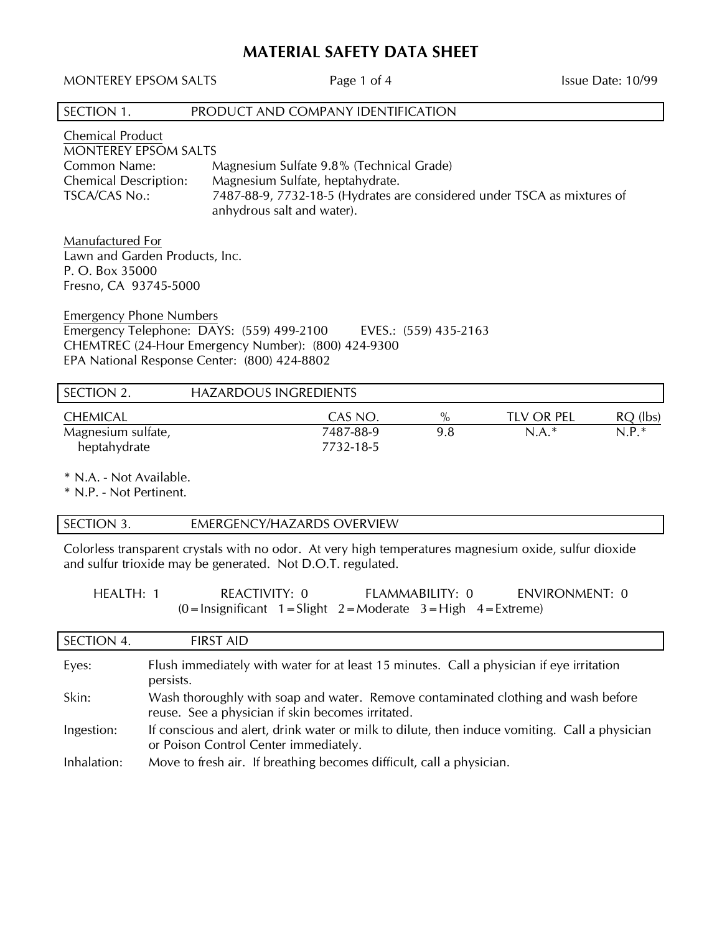# **MATERIAL SAFETY DATA SHEET**

MONTEREY EPSOM SALTS Page 1 of 4 Issue Date: 10/99

| SECTION 1.                                                                                                                  | PRODUCT AND COMPANY IDENTIFICATION                                                                    |
|-----------------------------------------------------------------------------------------------------------------------------|-------------------------------------------------------------------------------------------------------|
| <b>Chemical Product</b><br><b>MONTEREY EPSOM SALTS</b><br>Common Name:<br><b>Chemical Description:</b>                      | Magnesium Sulfate 9.8% (Technical Grade)<br>Magnesium Sulfate, heptahydrate.                          |
| <b>TSCA/CAS No.:</b>                                                                                                        | 7487-88-9, 7732-18-5 (Hydrates are considered under TSCA as mixtures of<br>anhydrous salt and water). |
| Manufactured For<br>Lawn and Garden Products, Inc.<br>P. O. Box 35000<br>Fresno, CA 93745-5000                              |                                                                                                       |
| <b>Emergency Phone Numbers</b><br>Emergency Telephone: DAYS: (559) 499-2100<br>EPA National Response Center: (800) 424-8802 | EVES.: (559) 435-2163<br>CHEMTREC (24-Hour Emergency Number): (800) 424-9300                          |
| SECTION 2.                                                                                                                  | <b>HAZARDOUS INGREDIENTS</b>                                                                          |

| .                  |           |      |            |            |
|--------------------|-----------|------|------------|------------|
| <b>CHEMICAL</b>    | CAS NO.   | $\%$ | TLV OR PEL | $RQ$ (lbs) |
| Magnesium sulfate, | 7487-88-9 | 9.8  | $N.A.*$    | $N.P.*$    |
| heptahydrate       | 7732-18-5 |      |            |            |

\* N.A. - Not Available.

\* N.P. - Not Pertinent.

## SECTION 3. **EMERGENCY/HAZARDS OVERVIEW**

Colorless transparent crystals with no odor. At very high temperatures magnesium oxide, sulfur dioxide and sulfur trioxide may be generated. Not D.O.T. regulated.

| HEALTH: 1 | REACTIVITY: 0                                                                                           | FLAMMABILITY: 0 | ENVIRONMENT: 0 |
|-----------|---------------------------------------------------------------------------------------------------------|-----------------|----------------|
|           | $(0 = \text{Insignificant } 1 = \text{Slight } 2 = \text{Modern } 3 = \text{High } 4 = \text{Extreme})$ |                 |                |

| SECTION 4.  | <b>FIRST AID</b>                                                                                                                       |
|-------------|----------------------------------------------------------------------------------------------------------------------------------------|
| Eyes:       | Flush immediately with water for at least 15 minutes. Call a physician if eye irritation<br>persists.                                  |
| Skin:       | Wash thoroughly with soap and water. Remove contaminated clothing and wash before<br>reuse. See a physician if skin becomes irritated. |
| Ingestion:  | If conscious and alert, drink water or milk to dilute, then induce vomiting. Call a physician<br>or Poison Control Center immediately. |
| Inhalation: | Move to fresh air. If breathing becomes difficult, call a physician.                                                                   |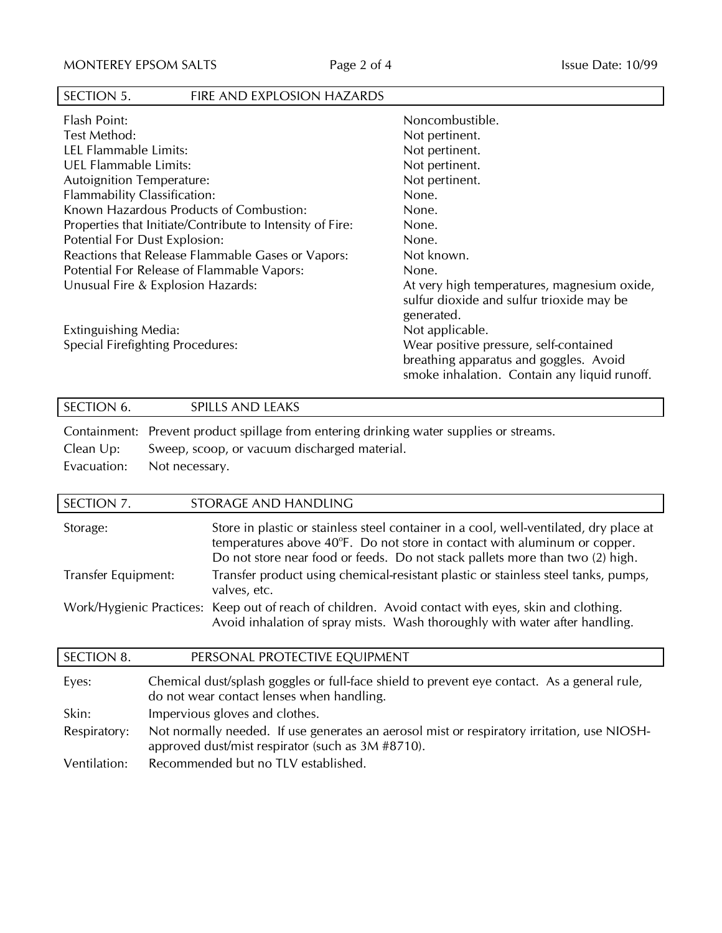# SECTION 5. FIRE AND EXPLOSION HAZARDS

| Noncombustible.                              |
|----------------------------------------------|
| Not pertinent.                               |
| Not pertinent.                               |
| Not pertinent.                               |
| Not pertinent.                               |
| None.                                        |
| None.                                        |
| None.                                        |
| None.                                        |
| Not known.                                   |
| None.                                        |
| At very high temperatures, magnesium oxide,  |
| sulfur dioxide and sulfur trioxide may be    |
| generated.                                   |
| Not applicable.                              |
| Wear positive pressure, self-contained       |
| breathing apparatus and goggles. Avoid       |
| smoke inhalation. Contain any liquid runoff. |
|                                              |

# SECTION 6. SPILLS AND LEAKS Containment: Prevent product spillage from entering drinking water supplies or streams. Clean Up: Sweep, scoop, or vacuum discharged material. Evacuation: Not necessary.

| STORAGE AND HANDLING                                                                                                                                                                                                                                 |
|------------------------------------------------------------------------------------------------------------------------------------------------------------------------------------------------------------------------------------------------------|
| Store in plastic or stainless steel container in a cool, well-ventilated, dry place at<br>temperatures above 40°F. Do not store in contact with aluminum or copper.<br>Do not store near food or feeds. Do not stack pallets more than two (2) high. |
| Transfer product using chemical-resistant plastic or stainless steel tanks, pumps,<br>valves, etc.                                                                                                                                                   |
| Work/Hygienic Practices: Keep out of reach of children. Avoid contact with eyes, skin and clothing.<br>Avoid inhalation of spray mists. Wash thoroughly with water after handling.                                                                   |
|                                                                                                                                                                                                                                                      |

| SECTION 8.   | PERSONAL PROTECTIVE EQUIPMENT                                                                                                                    |
|--------------|--------------------------------------------------------------------------------------------------------------------------------------------------|
| Eyes:        | Chemical dust/splash goggles or full-face shield to prevent eye contact. As a general rule,<br>do not wear contact lenses when handling.         |
| Skin:        | Impervious gloves and clothes.                                                                                                                   |
| Respiratory: | Not normally needed. If use generates an aerosol mist or respiratory irritation, use NIOSH-<br>approved dust/mist respirator (such as 3M #8710). |
| Ventilation: | Recommended but no TLV established.                                                                                                              |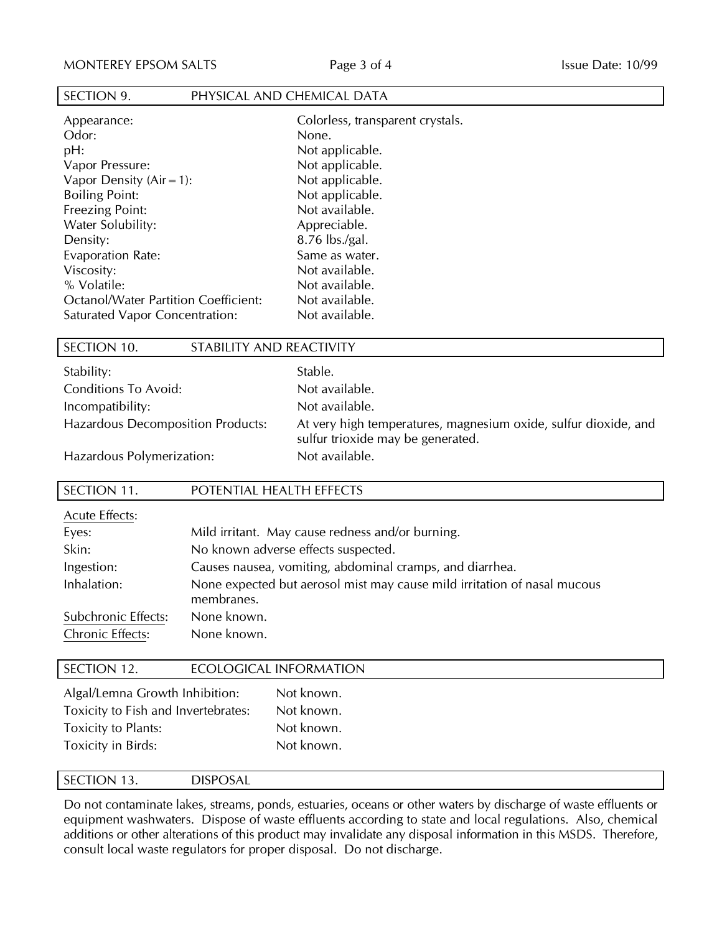#### SECTION 9. PHYSICAL AND CHEMICAL DATA

| Appearance:                                 | Colorl  |
|---------------------------------------------|---------|
| Odor:                                       | None.   |
| pH:                                         | Not ap  |
| Vapor Pressure:                             | Not ap  |
| Vapor Density $(Air = 1)$ :                 | Not ap  |
| <b>Boiling Point:</b>                       | Not ap  |
| <b>Freezing Point:</b>                      | Not av  |
| Water Solubility:                           | Appre   |
| Density:                                    | 8.76 ll |
| <b>Evaporation Rate:</b>                    | Same    |
| Viscosity:                                  | Not av  |
| % Volatile:                                 | Not av  |
| <b>Octanol/Water Partition Coefficient:</b> | Not av  |
| Saturated Vapor Concentration:              | Not av  |

# orless, transparent crystals. applicable. applicable. applicable. applicable. available. reciable.  $\text{lbs./gal.}$ e as water. available. available. available. available. SECTION 10. STABILITY AND REACTIVITY

| Stability:<br>Conditions To Avoid:       | Stable.<br>Not available.                                                                            |
|------------------------------------------|------------------------------------------------------------------------------------------------------|
| Incompatibility:                         | Not available.                                                                                       |
| <b>Hazardous Decomposition Products:</b> | At very high temperatures, magnesium oxide, sulfur dioxide, and<br>sulfur trioxide may be generated. |
| Hazardous Polymerization:                | Not available.                                                                                       |

#### SECTION 11. POTENTIAL HEALTH EFFECTS

| <b>Acute Effects:</b>   |                                                                                        |
|-------------------------|----------------------------------------------------------------------------------------|
| Eyes:                   | Mild irritant. May cause redness and/or burning.                                       |
| Skin:                   | No known adverse effects suspected.                                                    |
| Ingestion:              | Causes nausea, vomiting, abdominal cramps, and diarrhea.                               |
| Inhalation:             | None expected but aerosol mist may cause mild irritation of nasal mucous<br>membranes. |
| Subchronic Effects:     | None known.                                                                            |
| <b>Chronic Effects:</b> | None known.                                                                            |

### SECTION 12. ECOLOGICAL INFORMATION

| Algal/Lemna Growth Inhibition:<br>Not known.<br>Toxicity to Fish and Invertebrates:<br>Not known. |
|---------------------------------------------------------------------------------------------------|
| <b>Toxicity to Plants:</b><br>Not known.                                                          |
| Toxicity in Birds:<br>Not known.                                                                  |

#### SECTION 13. DISPOSAL

Do not contaminate lakes, streams, ponds, estuaries, oceans or other waters by discharge of waste effluents or equipment washwaters. Dispose of waste effluents according to state and local regulations. Also, chemical additions or other alterations of this product may invalidate any disposal information in this MSDS. Therefore, consult local waste regulators for proper disposal. Do not discharge.